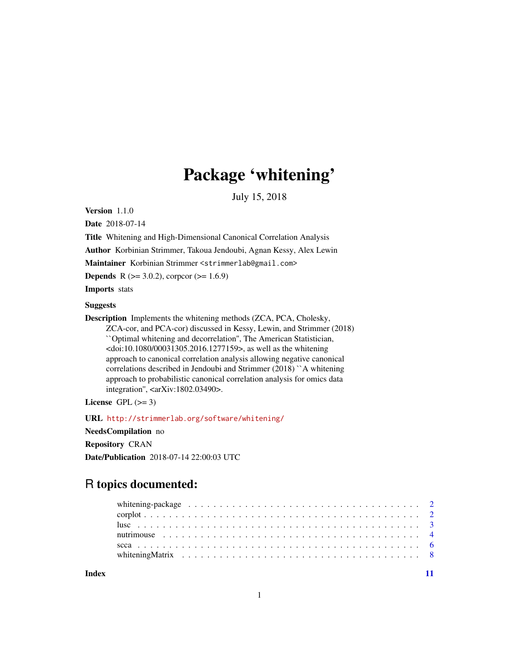# Package 'whitening'

July 15, 2018

<span id="page-0-0"></span>Version 1.1.0

Date 2018-07-14

Title Whitening and High-Dimensional Canonical Correlation Analysis

Author Korbinian Strimmer, Takoua Jendoubi, Agnan Kessy, Alex Lewin

Maintainer Korbinian Strimmer <strimmerlab@gmail.com>

**Depends** R ( $>= 3.0.2$ ), corpcor ( $>= 1.6.9$ )

Imports stats

# Suggests

Description Implements the whitening methods (ZCA, PCA, Cholesky,

ZCA-cor, and PCA-cor) discussed in Kessy, Lewin, and Strimmer (2018) ``Optimal whitening and decorrelation'', The American Statistician, <doi:10.1080/00031305.2016.1277159>, as well as the whitening approach to canonical correlation analysis allowing negative canonical correlations described in Jendoubi and Strimmer (2018) ``A whitening approach to probabilistic canonical correlation analysis for omics data integration'', <arXiv:1802.03490>.

License GPL  $(>= 3)$ 

URL <http://strimmerlab.org/software/whitening/>

NeedsCompilation no

Repository CRAN

Date/Publication 2018-07-14 22:00:03 UTC

# R topics documented:

| whitening-package $\ldots \ldots \ldots \ldots \ldots \ldots \ldots \ldots \ldots \ldots \ldots \ldots \ldots 2$ |  |  |  |  |  |  |  |  |  |  |  |  |  |  |  |  |  |  |  |
|------------------------------------------------------------------------------------------------------------------|--|--|--|--|--|--|--|--|--|--|--|--|--|--|--|--|--|--|--|
|                                                                                                                  |  |  |  |  |  |  |  |  |  |  |  |  |  |  |  |  |  |  |  |
|                                                                                                                  |  |  |  |  |  |  |  |  |  |  |  |  |  |  |  |  |  |  |  |
|                                                                                                                  |  |  |  |  |  |  |  |  |  |  |  |  |  |  |  |  |  |  |  |
|                                                                                                                  |  |  |  |  |  |  |  |  |  |  |  |  |  |  |  |  |  |  |  |
| white ning Matrix $\ldots \ldots \ldots \ldots \ldots \ldots \ldots \ldots \ldots \ldots \ldots \ldots \ldots$   |  |  |  |  |  |  |  |  |  |  |  |  |  |  |  |  |  |  |  |
|                                                                                                                  |  |  |  |  |  |  |  |  |  |  |  |  |  |  |  |  |  |  |  |

**Index** [11](#page-10-0)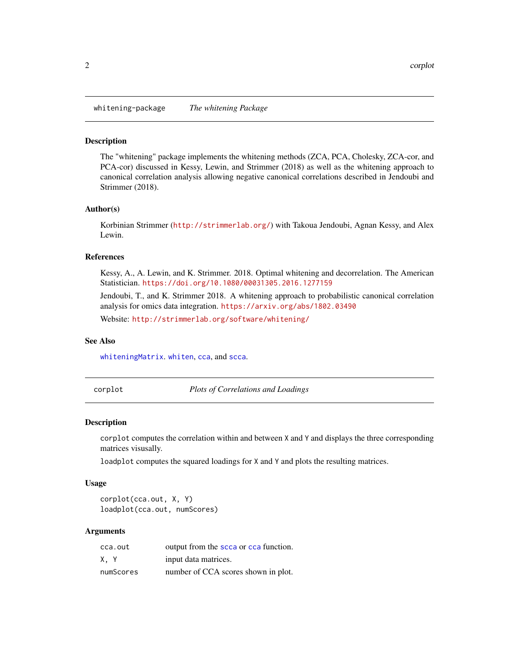<span id="page-1-0"></span>whitening-package *The whitening Package*

# **Description**

The "whitening" package implements the whitening methods (ZCA, PCA, Cholesky, ZCA-cor, and PCA-cor) discussed in Kessy, Lewin, and Strimmer (2018) as well as the whitening approach to canonical correlation analysis allowing negative canonical correlations described in Jendoubi and Strimmer (2018).

# Author(s)

Korbinian Strimmer (<http://strimmerlab.org/>) with Takoua Jendoubi, Agnan Kessy, and Alex Lewin.

# References

Kessy, A., A. Lewin, and K. Strimmer. 2018. Optimal whitening and decorrelation. The American Statistician. <https://doi.org/10.1080/00031305.2016.1277159>

Jendoubi, T., and K. Strimmer 2018. A whitening approach to probabilistic canonical correlation analysis for omics data integration. <https://arxiv.org/abs/1802.03490>

Website: <http://strimmerlab.org/software/whitening/>

# See Also

[whiteningMatrix](#page-7-1). [whiten](#page-7-2), [cca](#page-5-1), and [scca](#page-5-2).

corplot *Plots of Correlations and Loadings*

# **Description**

corplot computes the correlation within and between X and Y and displays the three corresponding matrices visusally.

loadplot computes the squared loadings for X and Y and plots the resulting matrices.

# Usage

corplot(cca.out, X, Y) loadplot(cca.out, numScores)

# Arguments

| cca.out   | output from the scca or cca function. |
|-----------|---------------------------------------|
| X.Y       | input data matrices.                  |
| numScores | number of CCA scores shown in plot.   |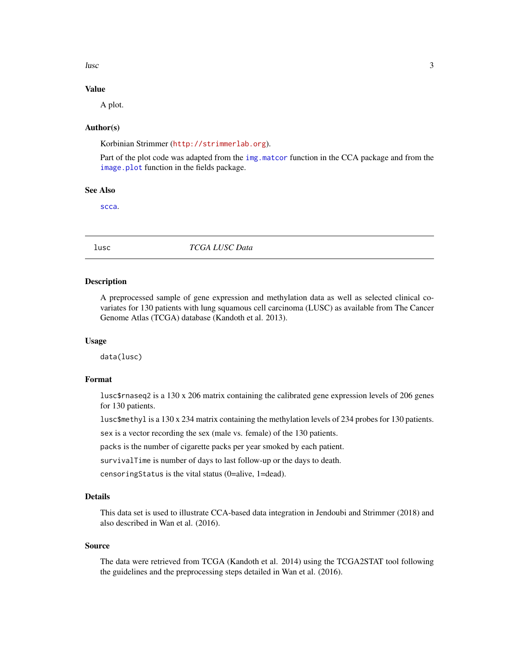<span id="page-2-0"></span>lusc 3

# Value

A plot.

# Author(s)

Korbinian Strimmer (<http://strimmerlab.org>).

Part of the plot code was adapted from the [img.matcor](#page-0-0) function in the CCA package and from the [image.plot](#page-0-0) function in the fields package.

# See Also

[scca](#page-5-2).

lusc *TCGA LUSC Data*

# Description

A preprocessed sample of gene expression and methylation data as well as selected clinical covariates for 130 patients with lung squamous cell carcinoma (LUSC) as available from The Cancer Genome Atlas (TCGA) database (Kandoth et al. 2013).

# Usage

data(lusc)

# Format

lusc\$rnaseq2 is a 130 x 206 matrix containing the calibrated gene expression levels of 206 genes for 130 patients.

lusc\$methyl is a 130 x 234 matrix containing the methylation levels of 234 probes for 130 patients.

sex is a vector recording the sex (male vs. female) of the 130 patients.

packs is the number of cigarette packs per year smoked by each patient.

survivalTime is number of days to last follow-up or the days to death.

censoringStatus is the vital status (0=alive, 1=dead).

# Details

This data set is used to illustrate CCA-based data integration in Jendoubi and Strimmer (2018) and also described in Wan et al. (2016).

# Source

The data were retrieved from TCGA (Kandoth et al. 2014) using the TCGA2STAT tool following the guidelines and the preprocessing steps detailed in Wan et al. (2016).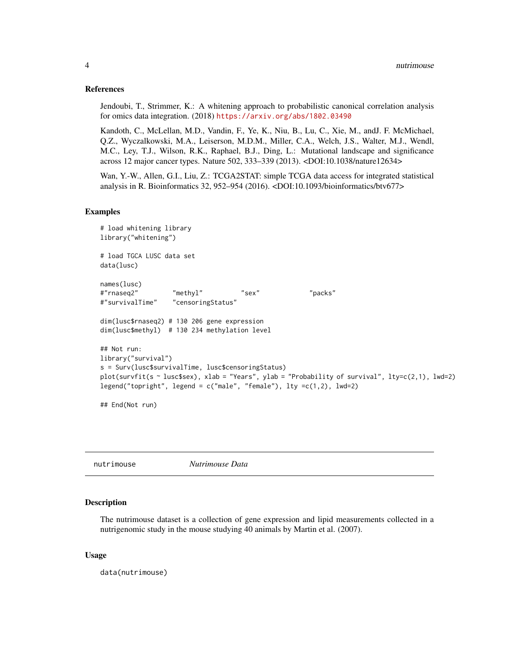# <span id="page-3-0"></span>References

Jendoubi, T., Strimmer, K.: A whitening approach to probabilistic canonical correlation analysis for omics data integration. (2018) <https://arxiv.org/abs/1802.03490>

Kandoth, C., McLellan, M.D., Vandin, F., Ye, K., Niu, B., Lu, C., Xie, M., andJ. F. McMichael, Q.Z., Wyczalkowski, M.A., Leiserson, M.D.M., Miller, C.A., Welch, J.S., Walter, M.J., Wendl, M.C., Ley, T.J., Wilson, R.K., Raphael, B.J., Ding, L.: Mutational landscape and significance across 12 major cancer types. Nature 502, 333–339 (2013). <DOI:10.1038/nature12634>

Wan, Y.-W., Allen, G.I., Liu, Z.: TCGA2STAT: simple TCGA data access for integrated statistical analysis in R. Bioinformatics 32, 952–954 (2016). <DOI:10.1093/bioinformatics/btv677>

# Examples

```
# load whitening library
library("whitening")
# load TGCA LUSC data set
data(lusc)
names(lusc)
#"rnaseq2" "methyl" "sex" "packs"
#"survivalTime" "censoringStatus"
dim(lusc$rnaseq2) # 130 206 gene expression
dim(lusc$methyl) # 130 234 methylation level
## Not run:
library("survival")
s = Surv(lusc$survivalTime, lusc$censoringStatus)
plot(survfit(s ~ lusc$sex), xlab = "Years", ylab = "Probability of survival", lty=c(2,1), lwd=2)
legend("topright", legend = c("male", "female"), lty =c(1,2), lwd=2)
## End(Not run)
```
<span id="page-3-1"></span>nutrimouse *Nutrimouse Data*

# Description

The nutrimouse dataset is a collection of gene expression and lipid measurements collected in a nutrigenomic study in the mouse studying 40 animals by Martin et al. (2007).

# Usage

data(nutrimouse)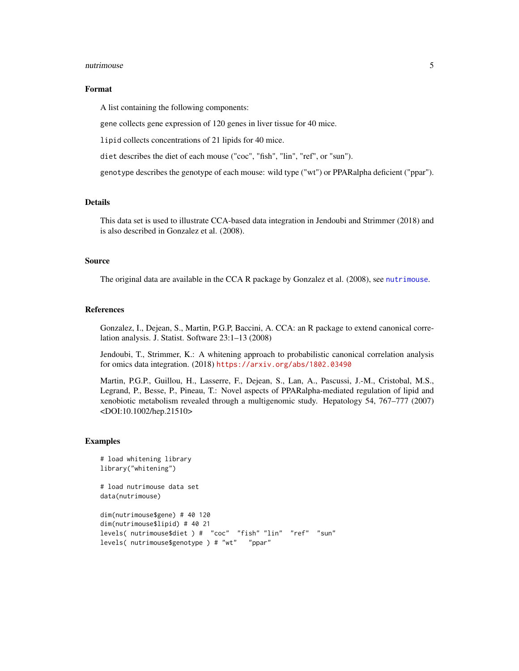# <span id="page-4-0"></span>nutrimouse 5

# Format

A list containing the following components:

gene collects gene expression of 120 genes in liver tissue for 40 mice.

lipid collects concentrations of 21 lipids for 40 mice.

diet describes the diet of each mouse ("coc", "fish", "lin", "ref", or "sun").

genotype describes the genotype of each mouse: wild type ("wt") or PPARalpha deficient ("ppar").

# **Details**

This data set is used to illustrate CCA-based data integration in Jendoubi and Strimmer (2018) and is also described in Gonzalez et al. (2008).

# Source

The original data are available in the CCA R package by Gonzalez et al. (2008), see [nutrimouse](#page-3-1).

# References

Gonzalez, I., Dejean, S., Martin, P.G.P, Baccini, A. CCA: an R package to extend canonical correlation analysis. J. Statist. Software 23:1–13 (2008)

Jendoubi, T., Strimmer, K.: A whitening approach to probabilistic canonical correlation analysis for omics data integration. (2018) <https://arxiv.org/abs/1802.03490>

Martin, P.G.P., Guillou, H., Lasserre, F., Dejean, S., Lan, A., Pascussi, J.-M., Cristobal, M.S., Legrand, P., Besse, P., Pineau, T.: Novel aspects of PPARalpha-mediated regulation of lipid and xenobiotic metabolism revealed through a multigenomic study. Hepatology 54, 767–777 (2007) <DOI:10.1002/hep.21510>

# Examples

```
# load whitening library
library("whitening")
# load nutrimouse data set
data(nutrimouse)
```
dim(nutrimouse\$gene) # 40 120 dim(nutrimouse\$lipid) # 40 21 levels( nutrimouse\$diet ) # "coc" "fish" "lin" "ref" "sun" levels( nutrimouse\$genotype ) # "wt" "ppar"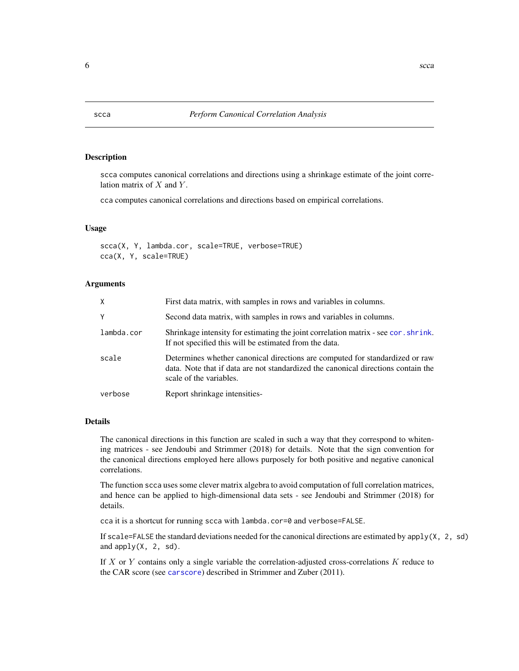# <span id="page-5-1"></span>Description

scca computes canonical correlations and directions using a shrinkage estimate of the joint correlation matrix of  $X$  and  $Y$ .

cca computes canonical correlations and directions based on empirical correlations.

# Usage

scca(X, Y, lambda.cor, scale=TRUE, verbose=TRUE) cca(X, Y, scale=TRUE)

# Arguments

| X          | First data matrix, with samples in rows and variables in columns.                                                                                                                            |
|------------|----------------------------------------------------------------------------------------------------------------------------------------------------------------------------------------------|
| Y          | Second data matrix, with samples in rows and variables in columns.                                                                                                                           |
| lambda.cor | Shrinkage intensity for estimating the joint correlation matrix - see cor. shrink.<br>If not specified this will be estimated from the data.                                                 |
| scale      | Determines whether canonical directions are computed for standardized or raw<br>data. Note that if data are not standardized the canonical directions contain the<br>scale of the variables. |
| verbose    | Report shrinkage intensities-                                                                                                                                                                |

# Details

The canonical directions in this function are scaled in such a way that they correspond to whitening matrices - see Jendoubi and Strimmer (2018) for details. Note that the sign convention for the canonical directions employed here allows purposely for both positive and negative canonical correlations.

The function scca uses some clever matrix algebra to avoid computation of full correlation matrices, and hence can be applied to high-dimensional data sets - see Jendoubi and Strimmer (2018) for details.

cca it is a shortcut for running scca with lambda.cor=0 and verbose=FALSE.

If scale=FALSE the standard deviations needed for the canonical directions are estimated by  $apply(X, 2, sd)$ and  $apply(X, 2, sd)$ .

If  $X$  or  $Y$  contains only a single variable the correlation-adjusted cross-correlations  $K$  reduce to the CAR score (see [carscore](#page-0-0)) described in Strimmer and Zuber (2011).

<span id="page-5-2"></span><span id="page-5-0"></span>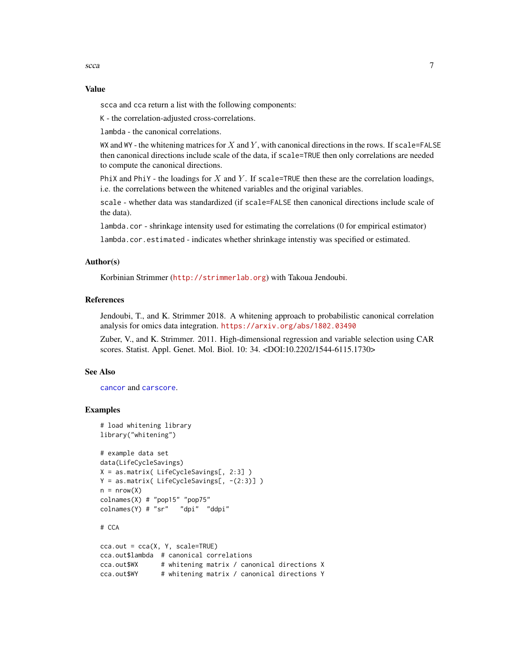# <span id="page-6-0"></span>Value

scca and cca return a list with the following components:

K - the correlation-adjusted cross-correlations.

lambda - the canonical correlations.

WX and WY - the whitening matrices for X and Y, with canonical directions in the rows. If scale=FALSE then canonical directions include scale of the data, if scale=TRUE then only correlations are needed to compute the canonical directions.

PhiX and PhiY - the loadings for X and Y. If scale=TRUE then these are the correlation loadings, i.e. the correlations between the whitened variables and the original variables.

scale - whether data was standardized (if scale=FALSE then canonical directions include scale of the data).

lambda.cor - shrinkage intensity used for estimating the correlations (0 for empirical estimator)

lambda.cor.estimated - indicates whether shrinkage intenstiy was specified or estimated.

# Author(s)

Korbinian Strimmer (<http://strimmerlab.org>) with Takoua Jendoubi.

# References

Jendoubi, T., and K. Strimmer 2018. A whitening approach to probabilistic canonical correlation analysis for omics data integration. <https://arxiv.org/abs/1802.03490>

Zuber, V., and K. Strimmer. 2011. High-dimensional regression and variable selection using CAR scores. Statist. Appl. Genet. Mol. Biol. 10: 34. <DOI:10.2202/1544-6115.1730>

# See Also

[cancor](#page-0-0) and [carscore](#page-0-0).

# Examples

```
# load whitening library
library("whitening")
# example data set
data(LifeCycleSavings)
X = as.matrix( LifeCycleSavings[, 2:3] )
Y = as_matrix(LifeCycleSavings[, - (2:3)]n = nrow(X)colnames(X) # "pop15" "pop75"
colnames(Y) # "sr" "dpi" "ddpi"
# CCA
cca.out = cca(X, Y, scale=True)
```

```
cca.out$lambda # canonical correlations
cca.out$WX # whitening matrix / canonical directions X
cca.out$WY # whitening matrix / canonical directions Y
```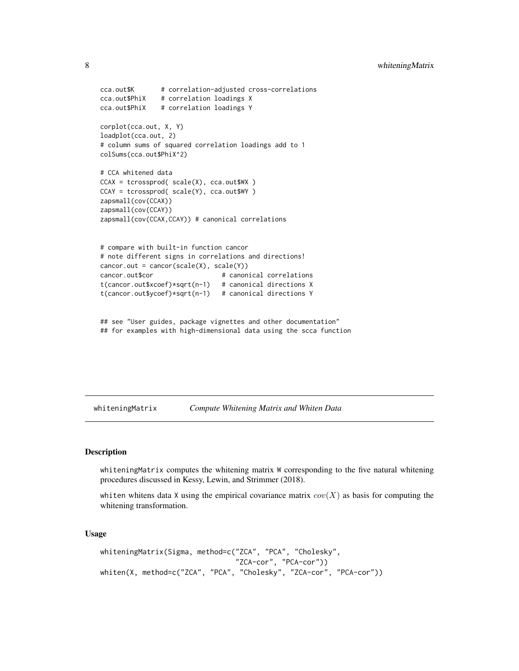```
cca.out$K # correlation-adjusted cross-correlations
cca.out$PhiX # correlation loadings X
cca.out$PhiX # correlation loadings Y
corplot(cca.out, X, Y)
loadplot(cca.out, 2)
# column sums of squared correlation loadings add to 1
colSums(cca.out$PhiX^2)
# CCA whitened data
CCAX = tcrossprod( scale(X), cca.out$WX )
CCAY = tcrossprod( scale(Y), cca.out$WY )
zapsmall(cov(CCAX))
zapsmall(cov(CCAY))
zapsmall(cov(CCAX,CCAY)) # canonical correlations
# compare with built-in function cancor
# note different signs in correlations and directions!
cancor.out = cancor(scale(X), scale(Y))cancor.out$cor # canonical correlations
t(cancor.out$xcoef)*sqrt(n-1) # canonical directions X
t(cancor.out$ycoef)*sqrt(n-1) # canonical directions Y
```

```
## see "User guides, package vignettes and other documentation"
## for examples with high-dimensional data using the scca function
```
<span id="page-7-1"></span>whiteningMatrix *Compute Whitening Matrix and Whiten Data*

# <span id="page-7-2"></span>Description

whiteningMatrix computes the whitening matrix W corresponding to the five natural whitening procedures discussed in Kessy, Lewin, and Strimmer (2018).

whiten whitens data X using the empirical covariance matrix  $cov(X)$  as basis for computing the whitening transformation.

#### Usage

```
whiteningMatrix(Sigma, method=c("ZCA", "PCA", "Cholesky",
                                "ZCA-cor", "PCA-cor"))
whiten(X, method=c("ZCA", "PCA", "Cholesky", "ZCA-cor", "PCA-cor"))
```
<span id="page-7-0"></span>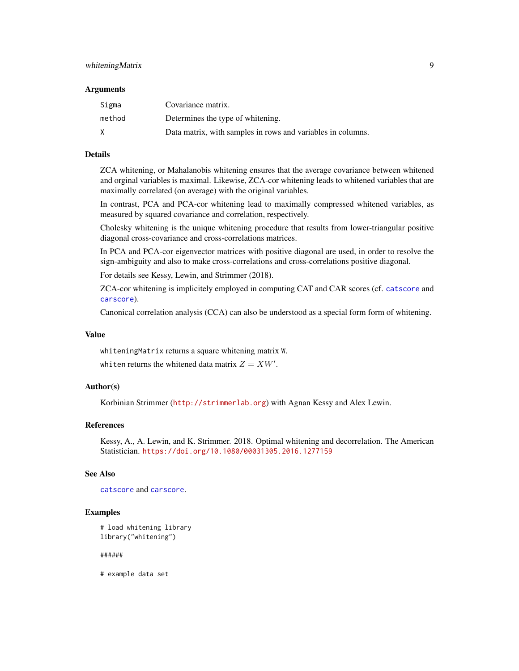# <span id="page-8-0"></span>whitening Matrix 9

# **Arguments**

| Sigma  | Covariance matrix.                                          |
|--------|-------------------------------------------------------------|
| method | Determines the type of whitening.                           |
| X      | Data matrix, with samples in rows and variables in columns. |

# Details

ZCA whitening, or Mahalanobis whitening ensures that the average covariance between whitened and orginal variables is maximal. Likewise, ZCA-cor whitening leads to whitened variables that are maximally correlated (on average) with the original variables.

In contrast, PCA and PCA-cor whitening lead to maximally compressed whitened variables, as measured by squared covariance and correlation, respectively.

Cholesky whitening is the unique whitening procedure that results from lower-triangular positive diagonal cross-covariance and cross-correlations matrices.

In PCA and PCA-cor eigenvector matrices with positive diagonal are used, in order to resolve the sign-ambiguity and also to make cross-correlations and cross-correlations positive diagonal.

For details see Kessy, Lewin, and Strimmer (2018).

ZCA-cor whitening is implicitely employed in computing CAT and CAR scores (cf. [catscore](#page-0-0) and [carscore](#page-0-0)).

Canonical correlation analysis (CCA) can also be understood as a special form form of whitening.

# Value

whiteningMatrix returns a square whitening matrix W.

whiten returns the whitened data matrix  $Z = XW'$ .

# Author(s)

Korbinian Strimmer (<http://strimmerlab.org>) with Agnan Kessy and Alex Lewin.

# References

Kessy, A., A. Lewin, and K. Strimmer. 2018. Optimal whitening and decorrelation. The American Statistician. <https://doi.org/10.1080/00031305.2016.1277159>

# See Also

[catscore](#page-0-0) and [carscore](#page-0-0).

#### Examples

```
# load whitening library
library("whitening")
```
######

# example data set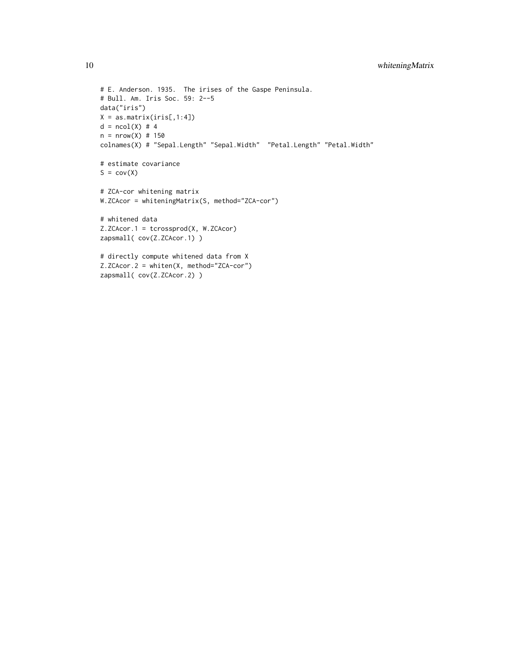```
# E. Anderson. 1935. The irises of the Gaspe Peninsula.
# Bull. Am. Iris Soc. 59: 2--5
data("iris")
X = as_matrix(iris[,1:4])d = ncol(X) # 4n = nrow(X) # 150colnames(X) # "Sepal.Length" "Sepal.Width" "Petal.Length" "Petal.Width"
# estimate covariance
S = cov(X)# ZCA-cor whitening matrix
W.ZCAcor = whiteningMatrix(S, method="ZCA-cor")
# whitened data
Z.ZCAcor.1 = tcrossprod(X, W.ZCAcor)
zapsmall( cov(Z.ZCAcor.1) )
# directly compute whitened data from X
Z.ZCAcor.2 = whiten(X, method="ZCA-cor")
zapsmall( cov(Z.ZCAcor.2) )
```